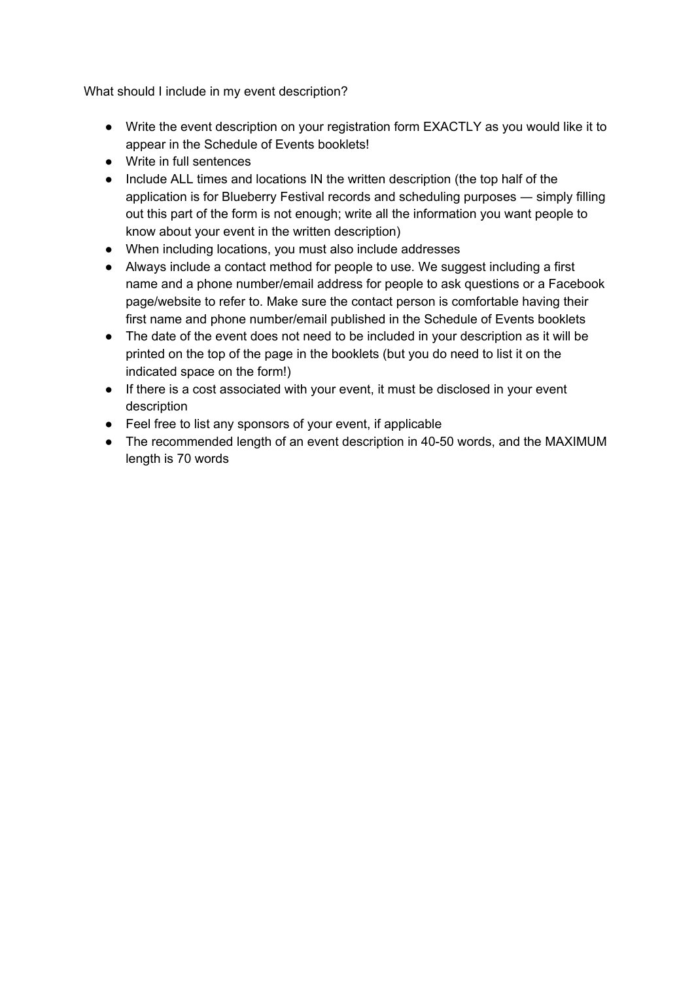What should I include in my event description?

- Write the event description on your registration form EXACTLY as you would like it to appear in the Schedule of Events booklets!
- Write in full sentences
- Include ALL times and locations IN the written description (the top half of the application is for Blueberry Festival records and scheduling purposes ― simply filling out this part of the form is not enough; write all the information you want people to know about your event in the written description)
- When including locations, you must also include addresses
- Always include a contact method for people to use. We suggest including a first name and a phone number/email address for people to ask questions or a Facebook page/website to refer to. Make sure the contact person is comfortable having their first name and phone number/email published in the Schedule of Events booklets
- The date of the event does not need to be included in your description as it will be printed on the top of the page in the booklets (but you do need to list it on the indicated space on the form!)
- If there is a cost associated with your event, it must be disclosed in your event description
- Feel free to list any sponsors of your event, if applicable
- The recommended length of an event description in 40-50 words, and the MAXIMUM length is 70 words